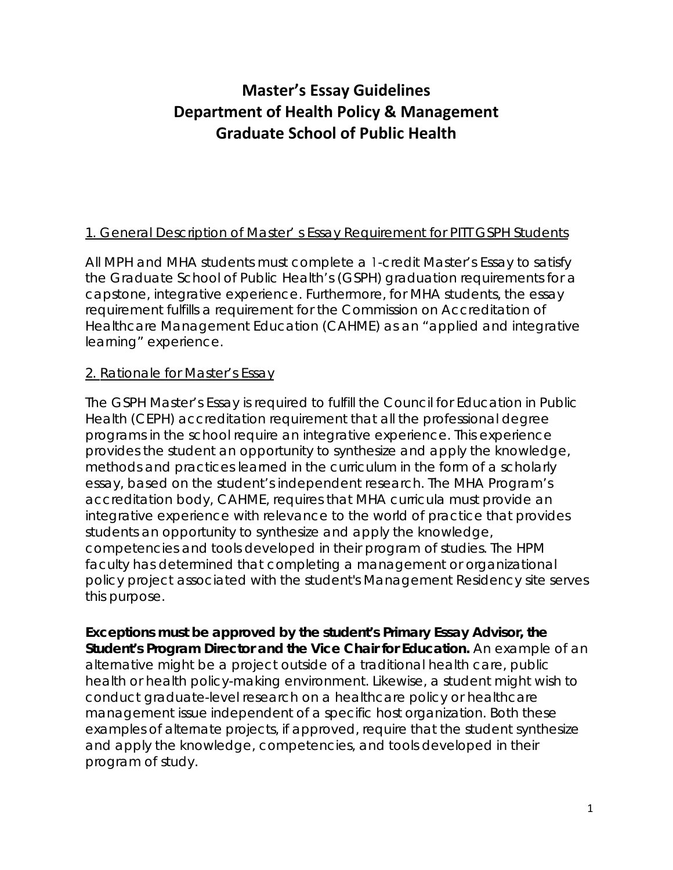# **Master's Essay Guidelines Department of Health Policy & Management Graduate School of Public Health**

# 1. General Description of Master' s Essay Requirement for PITT GSPH Students

All MPH and MHA students must complete a 1-credit Master's Essay to satisfy the Graduate School of Public Health's (GSPH) graduation requirements for a capstone, integrative experience. Furthermore, for MHA students, the essay requirement fulfills a requirement for the Commission on Accreditation of Healthcare Management Education (CAHME) as an "applied and integrative learning" experience.

# 2. Rationale for Master's Essay

The GSPH Master's Essay is required to fulfill the Council for Education in Public Health (CEPH) accreditation requirement that all the professional degree programs in the school require an integrative experience. This experience provides the student an opportunity to synthesize and apply the knowledge, methods and practices learned in the curriculum in the form of a scholarly essay, based on the student's independent research. The MHA Program's accreditation body, CAHME, requires that MHA curricula must provide an integrative experience with relevance to the world of practice that provides students an opportunity to synthesize and apply the knowledge, competencies and tools developed in their program of studies. The HPM faculty has determined that completing a management or organizational policy project associated with the student's Management Residency site serves this purpose.

**Exceptions must be approved by the student's Primary Essay Advisor, the Student's Program Director and the Vice Chair for Education.** An example of an alternative might be a project outside of a traditional health care, public health or health policy-making environment. Likewise, a student might wish to conduct graduate-level research on a healthcare policy or healthcare management issue independent of a specific host organization. Both these examples of alternate projects, if approved, require that the student synthesize and apply the knowledge, competencies, and tools developed in their program of study.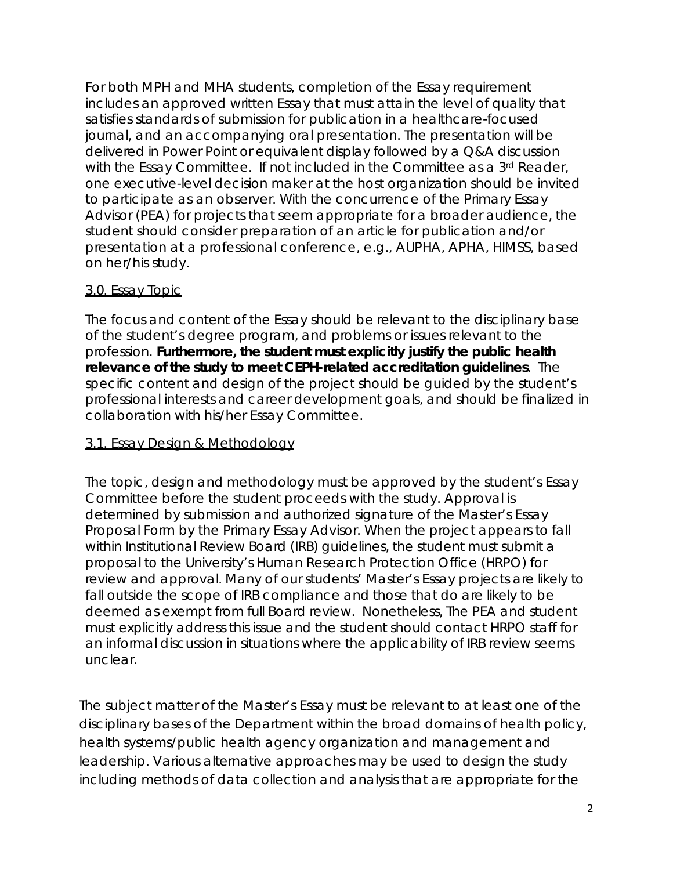For both MPH and MHA students, completion of the Essay requirement includes an approved written Essay that must attain the level of quality that satisfies standards of submission for publication in a healthcare-focused journal, and an accompanying oral presentation. The presentation will be delivered in Power Point or equivalent display followed by a Q&A discussion with the Essay Committee. If not included in the Committee as a 3rd Reader, one executive-level decision maker at the host organization should be invited to participate as an observer. With the concurrence of the Primary Essay Advisor (PEA) for projects that seem appropriate for a broader audience, the student should consider preparation of an article for publication and/or presentation at a professional conference, e.g., AUPHA, APHA, HIMSS, based on her/his study.

### 3.0. Essay Topic

The focus and content of the Essay should be relevant to the disciplinary base of the student's degree program, and problems or issues relevant to the profession. **Furthermore, the student must explicitly justify the public health relevance of the study to meet CEPH-related accreditation guidelines**. The specific content and design of the project should be guided by the student's professional interests and career development goals, and should be finalized in collaboration with his/her Essay Committee.

# 3.1. Essay Design & Methodology

The topic, design and methodology must be approved by the student's Essay Committee before the student proceeds with the study. Approval is determined by submission and authorized signature of the Master's Essay Proposal Form by the Primary Essay Advisor. When the project appears to fall within Institutional Review Board (IRB) guidelines, the student must submit a proposal to the University's Human Research Protection Office (HRPO) for review and approval. Many of our students' Master's Essay projects are likely to fall outside the scope of IRB compliance and those that do are likely to be deemed as exempt from full Board review. Nonetheless, The PEA and student must explicitly address this issue and the student should contact HRPO staff for an informal discussion in situations where the applicability of IRB review seems unclear.

The subject matter of the Master's Essay must be relevant to at least one of the disciplinary bases of the Department within the broad domains of health policy, health systems/public health agency organization and management and leadership. Various alternative approaches may be used to design the study including methods of data collection and analysis that are appropriate for the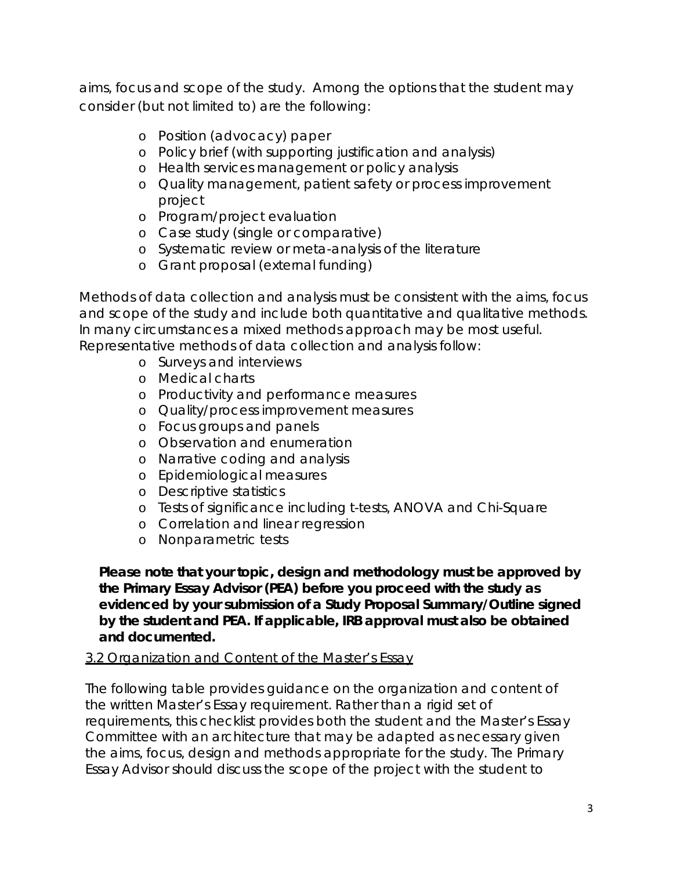aims, focus and scope of the study. Among the options that the student may consider (but not limited to) are the following:

- o Position (advocacy) paper
- o Policy brief (with supporting justification and analysis)
- o Health services management or policy analysis
- o Quality management, patient safety or process improvement project
- o Program/project evaluation
- o Case study (single or comparative)
- o Systematic review or meta-analysis of the literature
- o Grant proposal (external funding)

Methods of data collection and analysis must be consistent with the aims, focus and scope of the study and include both quantitative and qualitative methods. In many circumstances a mixed methods approach may be most useful. Representative methods of data collection and analysis follow:

- o Surveys and interviews
- o Medical charts
- o Productivity and performance measures
- o Quality/process improvement measures
- o Focus groups and panels
- o Observation and enumeration
- o Narrative coding and analysis
- o Epidemiological measures
- o Descriptive statistics
- o Tests of significance including t-tests, ANOVA and Chi-Square
- o Correlation and linear regression
- o Nonparametric tests

**Please note that your topic, design and methodology must be approved by the Primary Essay Advisor (PEA) before you proceed with the study as evidenced by your submission of a Study Proposal Summary/Outline signed by the student and PEA. If applicable, IRB approval must also be obtained and documented.** 

# 3.2 Organization and Content of the Master's Essay

The following table provides guidance on the organization and content of the written Master's Essay requirement. Rather than a rigid set of requirements, this checklist provides both the student and the Master's Essay Committee with an architecture that may be adapted as necessary given the aims, focus, design and methods appropriate for the study. The Primary Essay Advisor should discuss the scope of the project with the student to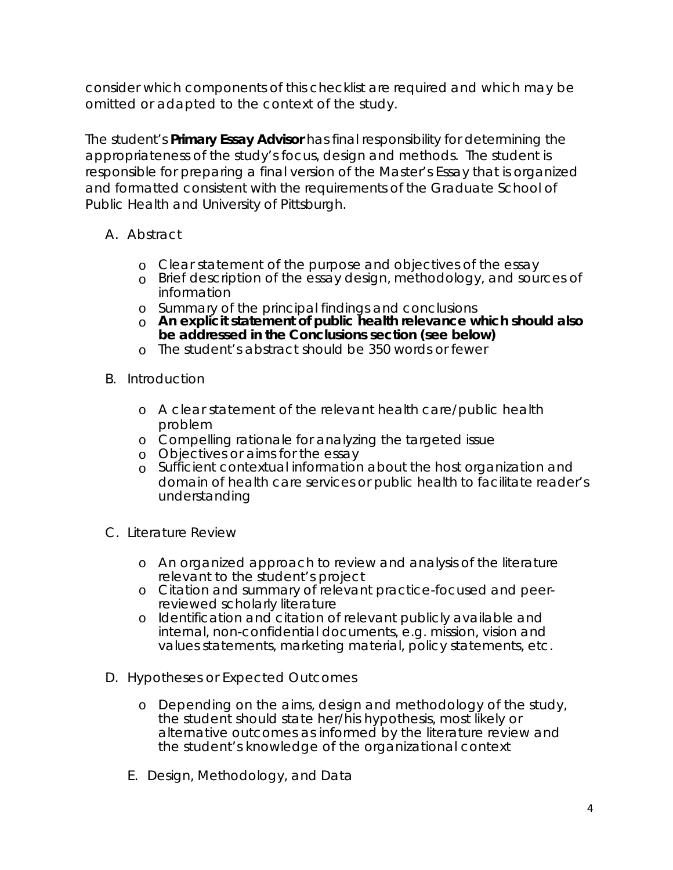consider which components of this checklist are required and which may be omitted or adapted to the context of the study.

The student's **Primary Essay Advisor** has final responsibility for determining the appropriateness of the study's focus, design and methods. The student is responsible for preparing a final version of the Master's Essay that is organized and formatted consistent with the requirements of the Graduate School of Public Health and University of Pittsburgh.

- A. Abstract
	- o Clear statement of the purpose and objectives of the essay
	- o Brief description of the essay design, methodology, and sources of information
	- o Summary of the principal findings and conclusions
	- o **An explicit statement of public health relevance which should also be addressed in the Conclusions section (see below)**
	- o The student's abstract should be 350 words or fewer
- B. Introduction
	- o A clear statement of the relevant health care/public health problem
	- o Compelling rationale for analyzing the targeted issue
	- o Objectives or aims for the essay
	- o Sufficient contextual information about the host organization and domain of health care services or public health to facilitate reader's understanding
- C. Literature Review
	- o An organized approach to review and analysis of the literature relevant to the student's project
	- o Citation and summary of relevant practice-focused and peerreviewed scholarly literature
	- o Identification and citation of relevant publicly available and internal, non-confidential documents, e.g. mission, vision and values statements, marketing material, policy statements, etc.
- D. Hypotheses or Expected Outcomes
	- o Depending on the aims, design and methodology of the study, the student should state her/his hypothesis, most likely or alternative outcomes as informed by the literature review and the student's knowledge of the organizational context
	- E. Design, Methodology, and Data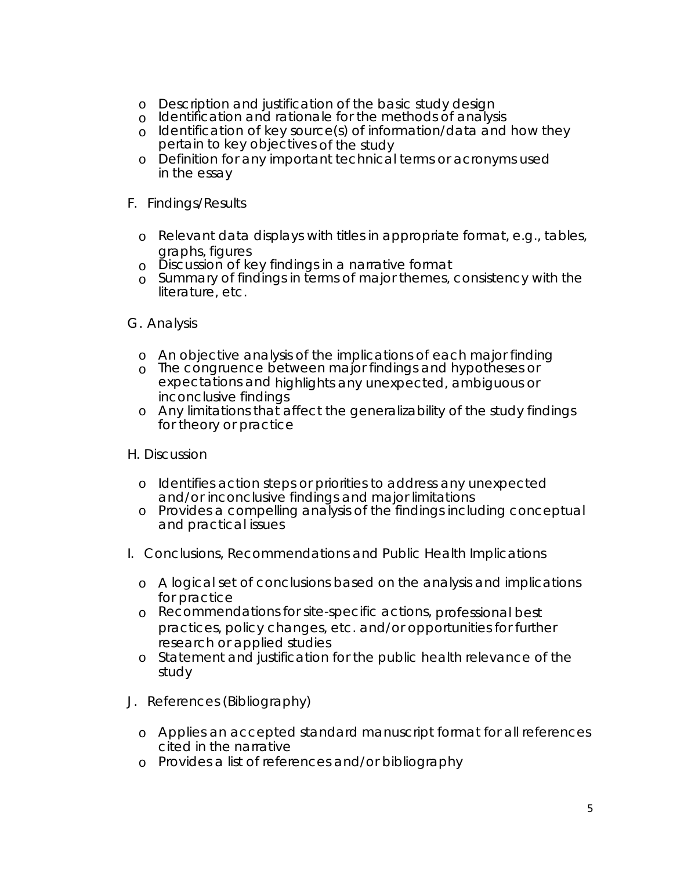- o Description and justification of the basic study design
- o Identification and rationale for the methods of analysis
- o Identification of key source(s) of information/data and how they pertain to key objectives of the study
- o Definition for any important technical terms or acronyms used in the essay
- F. Findings/Results
	- o Relevant data displays with titles in appropriate format, e.g., tables, graphs, figures
	- o Discussion of key findings in a narrative format
	- o Summary of findings in terms of major themes, consistency with the literature, etc.

#### G. Analysis

- o An objective analysis of the implications of each major finding
- o The congruence between major findings and hypotheses or expectations and highlights any unexpected, ambiguous or inconclusive findings
- o Any limitations that affect the generalizability of the study findings for theory or practice

### H. Discussion

- o Identifies action steps or priorities to address any unexpected and/or inconclusive findings and major limitations
- o Provides a compelling analysis of the findings including conceptual and practical issues
- I. Conclusions, Recommendations and Public Health Implications
	- o A logical set of conclusions based on the analysis and implications for practice
	- o Recommendations for site-specific actions, professional best practices, policy changes, etc. and/or opportunities for further research or applied studies
	- o Statement and justification for the public health relevance of the study
- J. References (Bibliography)
	- o Applies an accepted standard manuscript format for all references cited in the narrative
	- o Provides a list of references and/or bibliography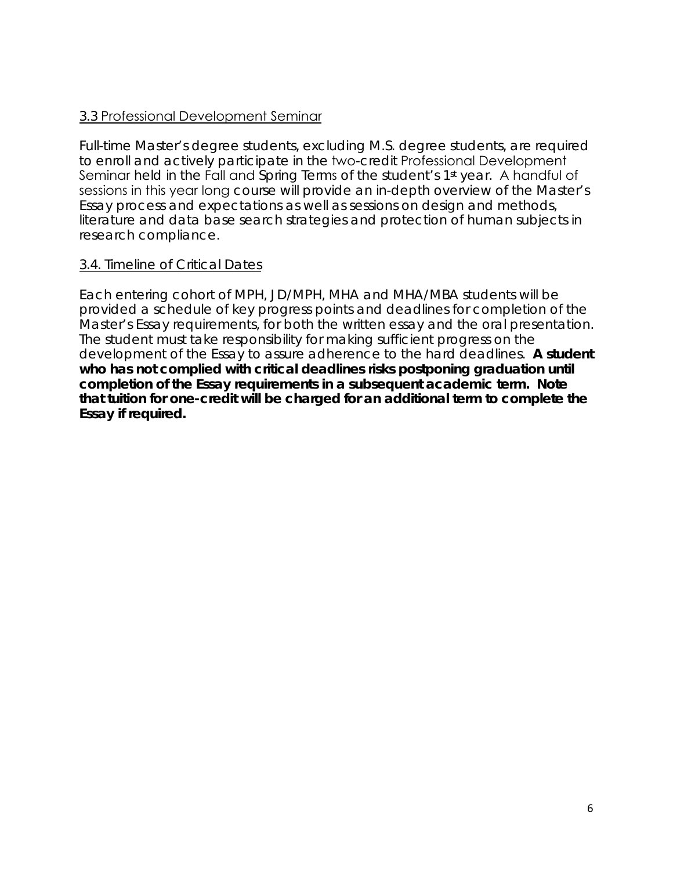### 3.3 Professional Development Seminar

Full-time Master's degree students, excluding M.S. degree students, are required to enroll and actively participate in the two-credit Professional Development Seminar held in the Fall and Spring Terms of the student's 1<sup>st</sup> year. A handful of sessions in this year long course will provide an in-depth overview of the Master's Essay process and expectations as well as sessions on design and methods, literature and data base search strategies and protection of human subjects in research compliance.

### 3.4. Timeline of Critical Dates

Each entering cohort of MPH, JD/MPH, MHA and MHA/MBA students will be provided a schedule of key progress points and deadlines for completion of the Master's Essay requirements, for both the written essay and the oral presentation. The student must take responsibility for making sufficient progress on the development of the Essay to assure adherence to the hard deadlines. **A student who has not complied with critical deadlines risks postponing graduation until completion of the Essay requirements in a subsequent academic term. Note that tuition for one-credit will be charged for an additional term to complete the Essay if required.**